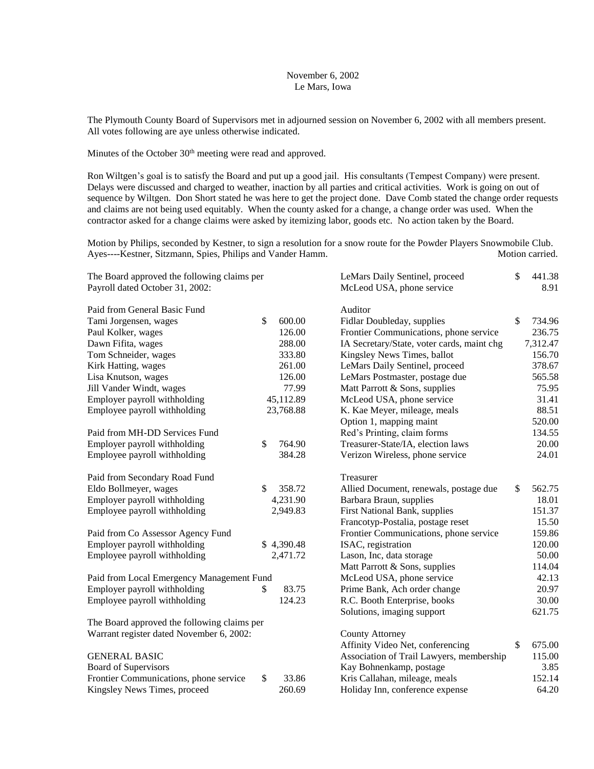#### November 6, 2002 Le Mars, Iowa

The Plymouth County Board of Supervisors met in adjourned session on November 6, 2002 with all members present. All votes following are aye unless otherwise indicated.

Minutes of the October 30<sup>th</sup> meeting were read and approved.

Ron Wiltgen's goal is to satisfy the Board and put up a good jail. His consultants (Tempest Company) were present. Delays were discussed and charged to weather, inaction by all parties and critical activities. Work is going on out of sequence by Wiltgen. Don Short stated he was here to get the project done. Dave Comb stated the change order requests and claims are not being used equitably. When the county asked for a change, a change order was used. When the contractor asked for a change claims were asked by itemizing labor, goods etc. No action taken by the Board.

Motion by Philips, seconded by Kestner, to sign a resolution for a snow route for the Powder Players Snowmobile Club. Ayes----Kestner, Sitzmann, Spies, Philips and Vander Hamm. Motion carried.

| The Board approved the following claims per |    |            | LeMars Daily Sentinel, proceed             | \$<br>441.38 |
|---------------------------------------------|----|------------|--------------------------------------------|--------------|
| Payroll dated October 31, 2002:             |    |            | McLeod USA, phone service                  | 8.91         |
| Paid from General Basic Fund                |    |            | Auditor                                    |              |
| Tami Jorgensen, wages                       | \$ | 600.00     | Fidlar Doubleday, supplies                 | \$<br>734.96 |
| Paul Kolker, wages                          |    | 126.00     | Frontier Communications, phone service     | 236.75       |
| Dawn Fifita, wages                          |    | 288.00     | IA Secretary/State, voter cards, maint chg | 7,312.47     |
| Tom Schneider, wages                        |    | 333.80     | Kingsley News Times, ballot                | 156.70       |
| Kirk Hatting, wages                         |    | 261.00     | LeMars Daily Sentinel, proceed             | 378.67       |
| Lisa Knutson, wages                         |    | 126.00     | LeMars Postmaster, postage due             | 565.58       |
| Jill Vander Windt, wages                    |    | 77.99      | Matt Parrott & Sons, supplies              | 75.95        |
| Employer payroll withholding                |    | 45,112.89  | McLeod USA, phone service                  | 31.41        |
| Employee payroll withholding                |    | 23,768.88  | K. Kae Meyer, mileage, meals               | 88.51        |
|                                             |    |            | Option 1, mapping maint                    | 520.00       |
| Paid from MH-DD Services Fund               |    |            | Red's Printing, claim forms                | 134.55       |
| Employer payroll withholding                | \$ | 764.90     | Treasurer-State/IA, election laws          | 20.00        |
| Employee payroll withholding                |    | 384.28     | Verizon Wireless, phone service            | 24.01        |
| Paid from Secondary Road Fund               |    |            | Treasurer                                  |              |
| Eldo Bollmeyer, wages                       | \$ | 358.72     | Allied Document, renewals, postage due     | \$<br>562.75 |
| Employer payroll withholding                |    | 4,231.90   | Barbara Braun, supplies                    | 18.01        |
| Employee payroll withholding                |    | 2,949.83   | First National Bank, supplies              | 151.37       |
|                                             |    |            | Francotyp-Postalia, postage reset          | 15.50        |
| Paid from Co Assessor Agency Fund           |    |            | Frontier Communications, phone service     | 159.86       |
| Employer payroll withholding                |    | \$4,390.48 | ISAC, registration                         | 120.00       |
| Employee payroll withholding                |    | 2,471.72   | Lason, Inc, data storage                   | 50.00        |
|                                             |    |            | Matt Parrott & Sons, supplies              | 114.04       |
| Paid from Local Emergency Management Fund   |    |            | McLeod USA, phone service                  | 42.13        |
| Employer payroll withholding                | \$ | 83.75      | Prime Bank, Ach order change               | 20.97        |
| Employee payroll withholding                |    | 124.23     | R.C. Booth Enterprise, books               | 30.00        |
|                                             |    |            | Solutions, imaging support                 | 621.75       |
| The Board approved the following claims per |    |            |                                            |              |
| Warrant register dated November 6, 2002:    |    |            | County Attorney                            |              |
|                                             |    |            | Affinity Video Net, conferencing           | \$<br>675.00 |
| <b>GENERAL BASIC</b>                        |    |            | Association of Trail Lawyers, membership   | 115.00       |
| Board of Supervisors                        |    |            | Kay Bohnenkamp, postage                    | 3.85         |
| Frontier Communications, phone service      | \$ | 33.86      | Kris Callahan, mileage, meals              | 152.14       |
| Kingsley News Times, proceed                |    | 260.69     | Holiday Inn, conference expense            | 64.20        |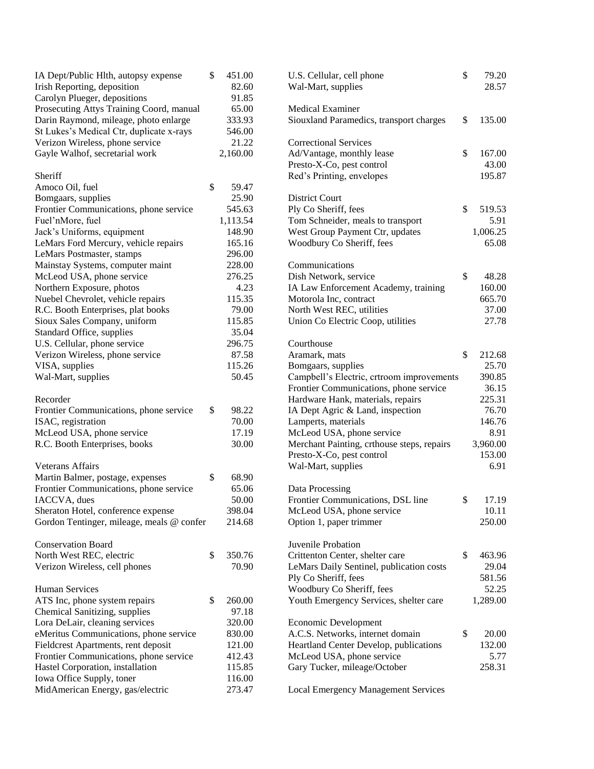| IA Dept/Public Hlth, autopsy expense      | \$<br>451.00 | U.S. Cellular, cell phone                  | \$<br>79.20  |
|-------------------------------------------|--------------|--------------------------------------------|--------------|
| Irish Reporting, deposition               | 82.60        | Wal-Mart, supplies                         | 28.57        |
| Carolyn Plueger, depositions              | 91.85        |                                            |              |
| Prosecuting Attys Training Coord, manual  | 65.00        | <b>Medical Examiner</b>                    |              |
| Darin Raymond, mileage, photo enlarge     | 333.93       | Siouxland Paramedics, transport charges    | \$<br>135.00 |
| St Lukes's Medical Ctr, duplicate x-rays  | 546.00       |                                            |              |
| Verizon Wireless, phone service           | 21.22        | <b>Correctional Services</b>               |              |
| Gayle Walhof, secretarial work            | 2,160.00     | Ad/Vantage, monthly lease                  | \$<br>167.00 |
|                                           |              | Presto-X-Co, pest control                  | 43.00        |
| Sheriff                                   |              | Red's Printing, envelopes                  | 195.87       |
| Amoco Oil, fuel                           | \$<br>59.47  |                                            |              |
| Bomgaars, supplies                        | 25.90        | <b>District Court</b>                      |              |
| Frontier Communications, phone service    | 545.63       | Ply Co Sheriff, fees                       | \$<br>519.53 |
| Fuel'nMore, fuel                          | 1,113.54     | Tom Schneider, meals to transport          | 5.91         |
| Jack's Uniforms, equipment                | 148.90       | West Group Payment Ctr, updates            | 1,006.25     |
| LeMars Ford Mercury, vehicle repairs      | 165.16       | Woodbury Co Sheriff, fees                  | 65.08        |
| LeMars Postmaster, stamps                 | 296.00       |                                            |              |
| Mainstay Systems, computer maint          | 228.00       | Communications                             |              |
| McLeod USA, phone service                 | 276.25       | Dish Network, service                      | \$<br>48.28  |
| Northern Exposure, photos                 | 4.23         | IA Law Enforcement Academy, training       | 160.00       |
| Nuebel Chevrolet, vehicle repairs         | 115.35       | Motorola Inc, contract                     | 665.70       |
| R.C. Booth Enterprises, plat books        | 79.00        | North West REC, utilities                  | 37.00        |
| Sioux Sales Company, uniform              | 115.85       | Union Co Electric Coop, utilities          | 27.78        |
| Standard Office, supplies                 | 35.04        |                                            |              |
| U.S. Cellular, phone service              | 296.75       | Courthouse                                 |              |
| Verizon Wireless, phone service           | 87.58        | Aramark, mats                              | \$<br>212.68 |
| VISA, supplies                            | 115.26       | Bomgaars, supplies                         | 25.70        |
| Wal-Mart, supplies                        | 50.45        | Campbell's Electric, crtroom improvements  | 390.85       |
|                                           |              | Frontier Communications, phone service     | 36.15        |
| Recorder                                  |              | Hardware Hank, materials, repairs          | 225.31       |
| Frontier Communications, phone service    | \$<br>98.22  | IA Dept Agric & Land, inspection           | 76.70        |
| ISAC, registration                        | 70.00        | Lamperts, materials                        | 146.76       |
| McLeod USA, phone service                 | 17.19        | McLeod USA, phone service                  | 8.91         |
| R.C. Booth Enterprises, books             | 30.00        | Merchant Painting, crthouse steps, repairs | 3,960.00     |
|                                           |              | Presto-X-Co, pest control                  | 153.00       |
| <b>Veterans Affairs</b>                   |              | Wal-Mart, supplies                         | 6.91         |
| Martin Balmer, postage, expenses          | \$<br>68.90  |                                            |              |
| Frontier Communications, phone service    | 65.06        | Data Processing                            |              |
| IACCVA, dues                              | 50.00        | Frontier Communications, DSL line          | \$<br>17.19  |
| Sheraton Hotel, conference expense        | 398.04       | McLeod USA, phone service                  | 10.11        |
| Gordon Tentinger, mileage, meals @ confer | 214.68       | Option 1, paper trimmer                    | 250.00       |
|                                           |              |                                            |              |
| <b>Conservation Board</b>                 |              | Juvenile Probation                         |              |
| North West REC, electric                  | \$<br>350.76 | Crittenton Center, shelter care            | \$<br>463.96 |
| Verizon Wireless, cell phones             | 70.90        | LeMars Daily Sentinel, publication costs   | 29.04        |
|                                           |              | Ply Co Sheriff, fees                       | 581.56       |
| <b>Human Services</b>                     |              | Woodbury Co Sheriff, fees                  | 52.25        |
| ATS Inc, phone system repairs             | \$<br>260.00 | Youth Emergency Services, shelter care     | 1,289.00     |
| Chemical Sanitizing, supplies             | 97.18        |                                            |              |
| Lora DeLair, cleaning services            | 320.00       | Economic Development                       |              |
| eMeritus Communications, phone service    | 830.00       | A.C.S. Networks, internet domain           | \$<br>20.00  |
| Fieldcrest Apartments, rent deposit       | 121.00       | Heartland Center Develop, publications     | 132.00       |
| Frontier Communications, phone service    | 412.43       | McLeod USA, phone service                  | 5.77         |
| Hastel Corporation, installation          | 115.85       | Gary Tucker, mileage/October               | 258.31       |
| Iowa Office Supply, toner                 | 116.00       |                                            |              |
| MidAmerican Energy, gas/electric          | 273.47       |                                            |              |
|                                           |              | <b>Local Emergency Management Services</b> |              |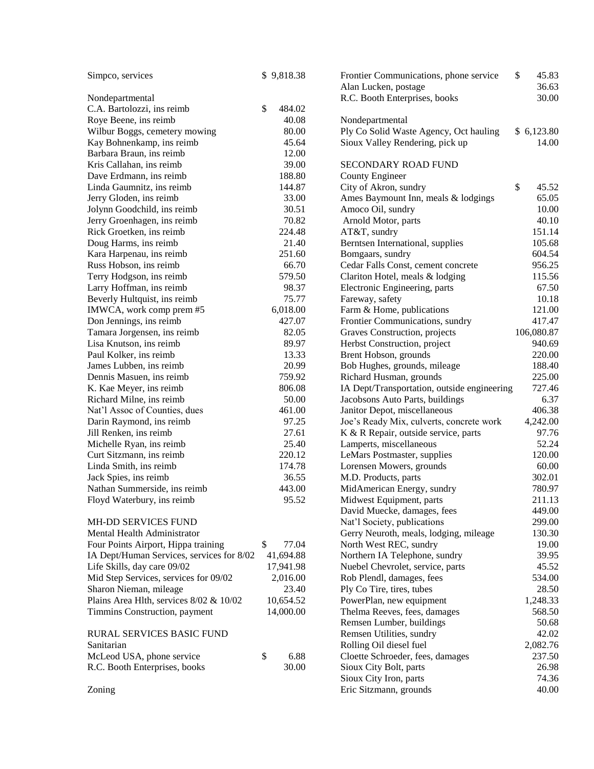| Simpco, services                          | \$9,818.38   | \$<br>Frontier Communications, phone service<br>Alan Lucken, postage | 45.83<br>36.63 |
|-------------------------------------------|--------------|----------------------------------------------------------------------|----------------|
| Nondepartmental                           |              | R.C. Booth Enterprises, books                                        | 30.00          |
| C.A. Bartolozzi, ins reimb                | \$<br>484.02 |                                                                      |                |
| Roye Beene, ins reimb                     | 40.08        | Nondepartmental                                                      |                |
| Wilbur Boggs, cemetery mowing             | 80.00        | Ply Co Solid Waste Agency, Oct hauling                               | \$6,123.80     |
| Kay Bohnenkamp, ins reimb                 | 45.64        | Sioux Valley Rendering, pick up                                      | 14.00          |
| Barbara Braun, ins reimb                  | 12.00        |                                                                      |                |
| Kris Callahan, ins reimb                  | 39.00        | <b>SECONDARY ROAD FUND</b>                                           |                |
| Dave Erdmann, ins reimb                   | 188.80       | County Engineer                                                      |                |
| Linda Gaumnitz, ins reimb                 | 144.87       | \$<br>City of Akron, sundry                                          | 45.52          |
| Jerry Gloden, ins reimb                   | 33.00        | Ames Baymount Inn, meals & lodgings                                  | 65.05          |
| Jolynn Goodchild, ins reimb               | 30.51        | Amoco Oil, sundry                                                    | 10.00          |
| Jerry Groenhagen, ins reimb               | 70.82        | Arnold Motor, parts                                                  | 40.10          |
| Rick Groetken, ins reimb                  | 224.48       | AT&T, sundry                                                         | 151.14         |
| Doug Harms, ins reimb                     | 21.40        | Berntsen International, supplies                                     | 105.68         |
| Kara Harpenau, ins reimb                  | 251.60       | Bomgaars, sundry                                                     | 604.54         |
| Russ Hobson, ins reimb                    | 66.70        | Cedar Falls Const, cement concrete                                   | 956.25         |
| Terry Hodgson, ins reimb                  | 579.50       | Clariton Hotel, meals & lodging                                      | 115.56         |
| Larry Hoffman, ins reimb                  | 98.37        | Electronic Engineering, parts                                        | 67.50          |
| Beverly Hultquist, ins reimb              | 75.77        | Fareway, safety                                                      | 10.18          |
| IMWCA, work comp prem #5                  | 6,018.00     | Farm & Home, publications                                            | 121.00         |
| Don Jennings, ins reimb                   | 427.07       | Frontier Communications, sundry                                      | 417.47         |
| Tamara Jorgensen, ins reimb               | 82.05        | Graves Construction, projects                                        | 106,080.87     |
| Lisa Knutson, ins reimb                   | 89.97        | Herbst Construction, project                                         | 940.69         |
| Paul Kolker, ins reimb                    | 13.33        | Brent Hobson, grounds                                                | 220.00         |
| James Lubben, ins reimb                   | 20.99        | Bob Hughes, grounds, mileage                                         | 188.40         |
| Dennis Masuen, ins reimb                  | 759.92       | Richard Husman, grounds                                              | 225.00         |
| K. Kae Meyer, ins reimb                   | 806.08       | IA Dept/Transportation, outside engineering                          | 727.46         |
| Richard Milne, ins reimb                  | 50.00        | Jacobsons Auto Parts, buildings                                      | 6.37           |
| Nat'l Assoc of Counties, dues             | 461.00       | Janitor Depot, miscellaneous                                         | 406.38         |
| Darin Raymond, ins reimb                  | 97.25        | Joe's Ready Mix, culverts, concrete work                             | 4,242.00       |
| Jill Renken, ins reimb                    | 27.61        | K & R Repair, outside service, parts                                 | 97.76          |
| Michelle Ryan, ins reimb                  | 25.40        | Lamperts, miscellaneous                                              | 52.24          |
| Curt Sitzmann, ins reimb                  | 220.12       | LeMars Postmaster, supplies                                          | 120.00         |
| Linda Smith, ins reimb                    | 174.78       | Lorensen Mowers, grounds                                             | 60.00          |
| Jack Spies, ins reimb                     | 36.55        | M.D. Products, parts                                                 | 302.01         |
| Nathan Summerside, ins reimb              | 443.00       | MidAmerican Energy, sundry                                           | 780.97         |
| Floyd Waterbury, ins reimb                | 95.52        | Midwest Equipment, parts                                             | 211.13         |
|                                           |              | David Muecke, damages, fees                                          | 449.00         |
| MH-DD SERVICES FUND                       |              | Nat'l Society, publications                                          | 299.00         |
| Mental Health Administrator               |              | Gerry Neuroth, meals, lodging, mileage                               | 130.30         |
| Four Points Airport, Hippa training       | \$<br>77.04  | North West REC, sundry                                               | 19.00          |
| IA Dept/Human Services, services for 8/02 | 41,694.88    | Northern IA Telephone, sundry                                        | 39.95          |
| Life Skills, day care 09/02               | 17,941.98    | Nuebel Chevrolet, service, parts                                     | 45.52          |
| Mid Step Services, services for 09/02     | 2,016.00     | Rob Plendl, damages, fees                                            | 534.00         |
| Sharon Nieman, mileage                    | 23.40        | Ply Co Tire, tires, tubes                                            | 28.50          |
| Plains Area Hlth, services 8/02 & 10/02   | 10,654.52    | PowerPlan, new equipment                                             | 1,248.33       |
| Timmins Construction, payment             | 14,000.00    | Thelma Reeves, fees, damages                                         | 568.50         |
|                                           |              | Remsen Lumber, buildings                                             | 50.68          |
| RURAL SERVICES BASIC FUND                 |              | Remsen Utilities, sundry                                             | 42.02          |
| Sanitarian                                |              | Rolling Oil diesel fuel                                              | 2,082.76       |
| McLeod USA, phone service                 | \$<br>6.88   | Cloette Schroeder, fees, damages                                     | 237.50         |
| R.C. Booth Enterprises, books             | 30.00        | Sioux City Bolt, parts                                               | 26.98          |
|                                           |              | Sioux City Iron, parts                                               | 74.36          |
| Zoning                                    |              | Eric Sitzmann, grounds                                               | 40.00          |
|                                           |              |                                                                      |                |